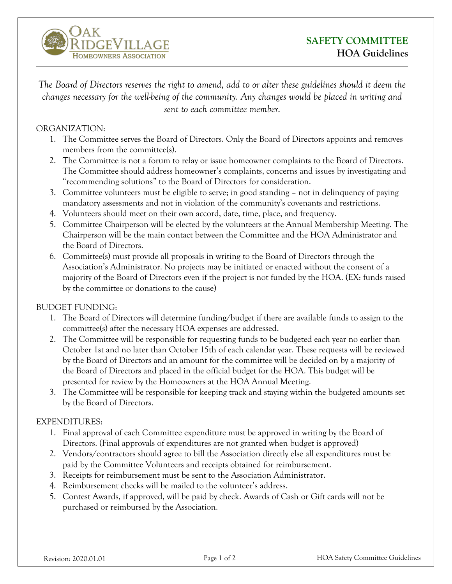

*The Board of Directors reserves the right to amend, add to or alter these guidelines should it deem the changes necessary for the well-being of the community. Any changes would be placed in writing and sent to each committee member.*

## ORGANIZATION:

- 1. The Committee serves the Board of Directors. Only the Board of Directors appoints and removes members from the committee(s).
- 2. The Committee is not a forum to relay or issue homeowner complaints to the Board of Directors. The Committee should address homeowner's complaints, concerns and issues by investigating and "recommending solutions" to the Board of Directors for consideration.
- 3. Committee volunteers must be eligible to serve; in good standing not in delinquency of paying mandatory assessments and not in violation of the community's covenants and restrictions.
- 4. Volunteers should meet on their own accord, date, time, place, and frequency.
- 5. Committee Chairperson will be elected by the volunteers at the Annual Membership Meeting. The Chairperson will be the main contact between the Committee and the HOA Administrator and the Board of Directors.
- 6. Committee(s) must provide all proposals in writing to the Board of Directors through the Association's Administrator. No projects may be initiated or enacted without the consent of a majority of the Board of Directors even if the project is not funded by the HOA. (EX: funds raised by the committee or donations to the cause)

## BUDGET FUNDING:

- 1. The Board of Directors will determine funding/budget if there are available funds to assign to the committee(s) after the necessary HOA expenses are addressed.
- 2. The Committee will be responsible for requesting funds to be budgeted each year no earlier than October 1st and no later than October 15th of each calendar year. These requests will be reviewed by the Board of Directors and an amount for the committee will be decided on by a majority of the Board of Directors and placed in the official budget for the HOA. This budget will be presented for review by the Homeowners at the HOA Annual Meeting.
- 3. The Committee will be responsible for keeping track and staying within the budgeted amounts set by the Board of Directors.

## EXPENDITURES:

- 1. Final approval of each Committee expenditure must be approved in writing by the Board of Directors. (Final approvals of expenditures are not granted when budget is approved)
- 2. Vendors/contractors should agree to bill the Association directly else all expenditures must be paid by the Committee Volunteers and receipts obtained for reimbursement.
- 3. Receipts for reimbursement must be sent to the Association Administrator.
- 4. Reimbursement checks will be mailed to the volunteer's address.
- 5. Contest Awards, if approved, will be paid by check. Awards of Cash or Gift cards will not be purchased or reimbursed by the Association.